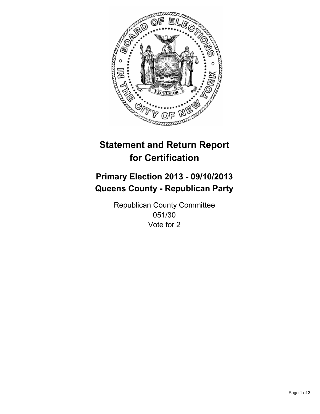

# **Statement and Return Report for Certification**

# **Primary Election 2013 - 09/10/2013 Queens County - Republican Party**

Republican County Committee 051/30 Vote for 2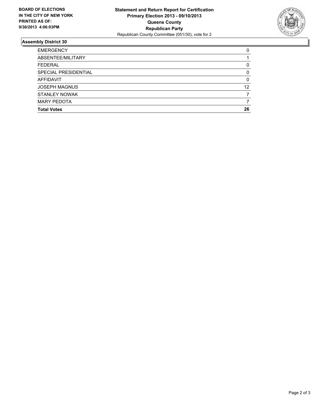

## **Assembly District 30**

| <b>EMERGENCY</b>     | 0  |
|----------------------|----|
| ABSENTEE/MILITARY    |    |
| <b>FEDERAL</b>       | 0  |
| SPECIAL PRESIDENTIAL | 0  |
| AFFIDAVIT            | 0  |
| <b>JOSEPH MAGNUS</b> | 12 |
| STANLEY NOWAK        |    |
| <b>MARY PEDOTA</b>   |    |
| <b>Total Votes</b>   | 26 |